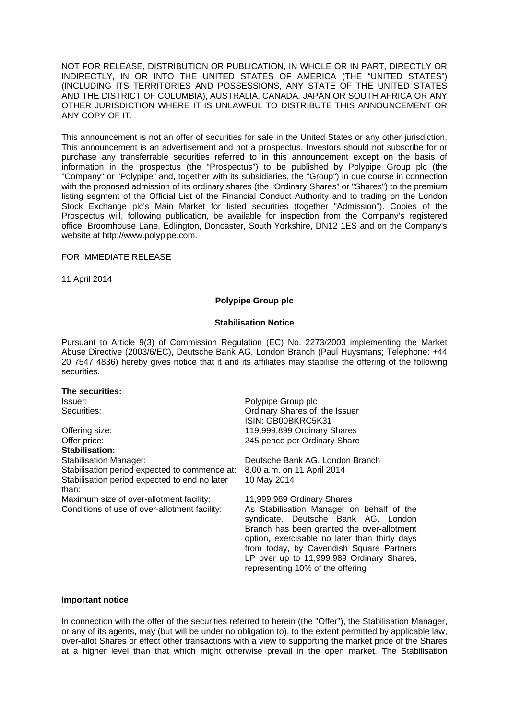NOT FOR RELEASE, DISTRIBUTION OR PUBLICATION, IN WHOLE OR IN PART, DIRECTLY OR INDIRECTLY, IN OR INTO THE UNITED STATES OF AMERICA (THE "UNITED STATES") (INCLUDING ITS TERRITORIES AND POSSESSIONS, ANY STATE OF THE UNITED STATES AND THE DISTRICT OF COLUMBIA), AUSTRALIA, CANADA, JAPAN OR SOUTH AFRICA OR ANY OTHER JURISDICTION WHERE IT IS UNLAWFUL TO DISTRIBUTE THIS ANNOUNCEMENT OR ANY COPY OF IT.

This announcement is not an offer of securities for sale in the United States or any other jurisdiction. This announcement is an advertisement and not a prospectus. Investors should not subscribe for or purchase any transferrable securities referred to in this announcement except on the basis of information in the prospectus (the "Prospectus") to be published by Polypipe Group plc (the "Company" or "Polypipe" and, together with its subsidiaries, the "Group") in due course in connection with the proposed admission of its ordinary shares (the "Ordinary Shares" or "Shares") to the premium listing segment of the Official List of the Financial Conduct Authority and to trading on the London Stock Exchange plc's Main Market for listed securities (together "Admission"). Copies of the Prospectus will, following publication, be available for inspection from the Company's registered office: Broomhouse Lane, Edlington, Doncaster, South Yorkshire, DN12 1ES and on the Company's website at http://www.polypipe.com.

### FOR IMMEDIATE RELEASE

11 April 2014

## **Polypipe Group plc**

### **Stabilisation Notice**

Pursuant to Article 9(3) of Commission Regulation (EC) No. 2273/2003 implementing the Market Abuse Directive (2003/6/EC), Deutsche Bank AG, London Branch (Paul Huysmans; Telephone: +44 20 7547 4836) hereby gives notice that it and its affiliates may stabilise the offering of the following securities.

# **The securities:**

Offering size: 119,999,899 Ordinary Shares Offer price: 245 pence per Ordinary Share **Stabilisation:**  Stabilisation Manager: Deutsche Bank AG, London Branch Stabilisation period expected to commence at: 8.00 a.m. on 11 April 2014 Stabilisation period expected to end no later than:

Maximum size of over-allotment facility: 11,999,989 Ordinary Shares<br>Conditions of use of over-allotment facility: As Stabilisation Manager of

Issuer: Polypipe Group plc Securities: Ordinary Shares of the Issuer ISIN: GB00BKRC5K31

10 May 2014

As Stabilisation Manager on behalf of the syndicate, Deutsche Bank AG, London Branch has been granted the over-allotment option, exercisable no later than thirty days from today, by Cavendish Square Partners LP over up to 11,999,989 Ordinary Shares, representing 10% of the offering

#### **Important notice**

In connection with the offer of the securities referred to herein (the "Offer"), the Stabilisation Manager, or any of its agents, may (but will be under no obligation to), to the extent permitted by applicable law, over-allot Shares or effect other transactions with a view to supporting the market price of the Shares at a higher level than that which might otherwise prevail in the open market. The Stabilisation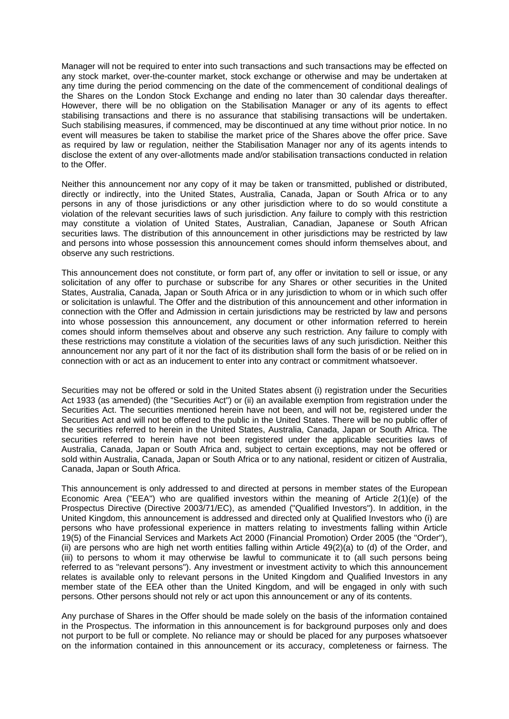Manager will not be required to enter into such transactions and such transactions may be effected on any stock market, over-the-counter market, stock exchange or otherwise and may be undertaken at any time during the period commencing on the date of the commencement of conditional dealings of the Shares on the London Stock Exchange and ending no later than 30 calendar days thereafter. However, there will be no obligation on the Stabilisation Manager or any of its agents to effect stabilising transactions and there is no assurance that stabilising transactions will be undertaken. Such stabilising measures, if commenced, may be discontinued at any time without prior notice. In no event will measures be taken to stabilise the market price of the Shares above the offer price. Save as required by law or regulation, neither the Stabilisation Manager nor any of its agents intends to disclose the extent of any over-allotments made and/or stabilisation transactions conducted in relation to the Offer.

Neither this announcement nor any copy of it may be taken or transmitted, published or distributed, directly or indirectly, into the United States, Australia, Canada, Japan or South Africa or to any persons in any of those jurisdictions or any other jurisdiction where to do so would constitute a violation of the relevant securities laws of such jurisdiction. Any failure to comply with this restriction may constitute a violation of United States, Australian, Canadian, Japanese or South African securities laws. The distribution of this announcement in other jurisdictions may be restricted by law and persons into whose possession this announcement comes should inform themselves about, and observe any such restrictions.

This announcement does not constitute, or form part of, any offer or invitation to sell or issue, or any solicitation of any offer to purchase or subscribe for any Shares or other securities in the United States, Australia, Canada, Japan or South Africa or in any jurisdiction to whom or in which such offer or solicitation is unlawful. The Offer and the distribution of this announcement and other information in connection with the Offer and Admission in certain jurisdictions may be restricted by law and persons into whose possession this announcement, any document or other information referred to herein comes should inform themselves about and observe any such restriction. Any failure to comply with these restrictions may constitute a violation of the securities laws of any such jurisdiction. Neither this announcement nor any part of it nor the fact of its distribution shall form the basis of or be relied on in connection with or act as an inducement to enter into any contract or commitment whatsoever.

Securities may not be offered or sold in the United States absent (i) registration under the Securities Act 1933 (as amended) (the "Securities Act") or (ii) an available exemption from registration under the Securities Act. The securities mentioned herein have not been, and will not be, registered under the Securities Act and will not be offered to the public in the United States. There will be no public offer of the securities referred to herein in the United States, Australia, Canada, Japan or South Africa. The securities referred to herein have not been registered under the applicable securities laws of Australia, Canada, Japan or South Africa and, subject to certain exceptions, may not be offered or sold within Australia, Canada, Japan or South Africa or to any national, resident or citizen of Australia, Canada, Japan or South Africa.

This announcement is only addressed to and directed at persons in member states of the European Economic Area ("EEA") who are qualified investors within the meaning of Article 2(1)(e) of the Prospectus Directive (Directive 2003/71/EC), as amended ("Qualified Investors"). In addition, in the United Kingdom, this announcement is addressed and directed only at Qualified Investors who (i) are persons who have professional experience in matters relating to investments falling within Article 19(5) of the Financial Services and Markets Act 2000 (Financial Promotion) Order 2005 (the "Order"), (ii) are persons who are high net worth entities falling within Article 49(2)(a) to (d) of the Order, and (iii) to persons to whom it may otherwise be lawful to communicate it to (all such persons being referred to as "relevant persons"). Any investment or investment activity to which this announcement relates is available only to relevant persons in the United Kingdom and Qualified Investors in any member state of the EEA other than the United Kingdom, and will be engaged in only with such persons. Other persons should not rely or act upon this announcement or any of its contents.

Any purchase of Shares in the Offer should be made solely on the basis of the information contained in the Prospectus. The information in this announcement is for background purposes only and does not purport to be full or complete. No reliance may or should be placed for any purposes whatsoever on the information contained in this announcement or its accuracy, completeness or fairness. The